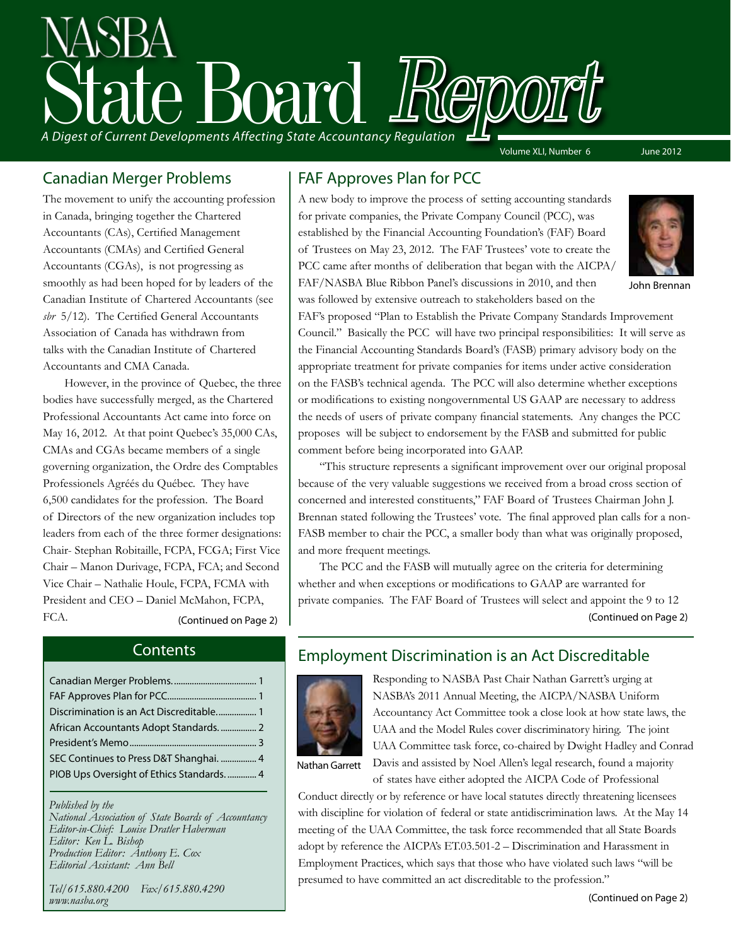# A Digest of Current Developments Affecting State Accountancy Regulation Volume XLI, Number 6 June 2012

#### Canadian Merger Problems

The movement to unify the accounting profession in Canada, bringing together the Chartered Accountants (CAs), Certified Management Accountants (CMAs) and Certified General Accountants (CGAs), is not progressing as smoothly as had been hoped for by leaders of the Canadian Institute of Chartered Accountants (see *sbr* 5/12). The Certified General Accountants Association of Canada has withdrawn from talks with the Canadian Institute of Chartered Accountants and CMA Canada.

However, in the province of Quebec, the three bodies have successfully merged, as the Chartered Professional Accountants Act came into force on May 16, 2012. At that point Quebec's 35,000 CAs, CMAs and CGAs became members of a single governing organization, the Ordre des Comptables Professionels Agréés du Québec. They have 6,500 candidates for the profession. The Board of Directors of the new organization includes top leaders from each of the three former designations: Chair- Stephan Robitaille, FCPA, FCGA; First Vice Chair – Manon Durivage, FCPA, FCA; and Second Vice Chair – Nathalie Houle, FCPA, FCMA with President and CEO – Daniel McMahon, FCPA, FCA. (Continued on Page 2)

#### FAF Approves Plan for PCC

A new body to improve the process of setting accounting standards for private companies, the Private Company Council (PCC), was established by the Financial Accounting Foundation's (FAF) Board of Trustees on May 23, 2012. The FAF Trustees' vote to create the PCC came after months of deliberation that began with the AICPA/ FAF/NASBA Blue Ribbon Panel's discussions in 2010, and then was followed by extensive outreach to stakeholders based on the



John Brennan

FAF's proposed "Plan to Establish the Private Company Standards Improvement Council." Basically the PCC will have two principal responsibilities: It will serve as the Financial Accounting Standards Board's (FASB) primary advisory body on the appropriate treatment for private companies for items under active consideration on the FASB's technical agenda. The PCC will also determine whether exceptions or modifications to existing nongovernmental US GAAP are necessary to address the needs of users of private company financial statements. Any changes the PCC proposes will be subject to endorsement by the FASB and submitted for public comment before being incorporated into GAAP.

"This structure represents a significant improvement over our original proposal because of the very valuable suggestions we received from a broad cross section of concerned and interested constituents," FAF Board of Trustees Chairman John J. Brennan stated following the Trustees' vote. The final approved plan calls for a non-FASB member to chair the PCC, a smaller body than what was originally proposed, and more frequent meetings.

The PCC and the FASB will mutually agree on the criteria for determining whether and when exceptions or modifications to GAAP are warranted for private companies. The FAF Board of Trustees will select and appoint the 9 to 12 (Continued on Page 2)

#### **Contents**

| Discrimination is an Act Discreditable 1   |
|--------------------------------------------|
|                                            |
|                                            |
| SEC Continues to Press D&T Shanghai.  4    |
| PIOB Ups Oversight of Ethics Standards.  4 |
|                                            |

*Published by the National Association of State Boards of Accountancy Editor-in-Chief: Louise Dratler Haberman Editor: Ken L. Bishop Production Editor: Anthony E. Cox Editorial Assistant: Ann Bell* 

*Tel/615.880.4200 Fax/615.880.4290 www.nasba.org*

#### Employment Discrimination is an Act Discreditable



Responding to NASBA Past Chair Nathan Garrett's urging at NASBA's 2011 Annual Meeting, the AICPA/NASBA Uniform Accountancy Act Committee took a close look at how state laws, the UAA and the Model Rules cover discriminatory hiring. The joint UAA Committee task force, co-chaired by Dwight Hadley and Conrad Davis and assisted by Noel Allen's legal research, found a majority of states have either adopted the AICPA Code of Professional

Nathan Garrett

Conduct directly or by reference or have local statutes directly threatening licensees with discipline for violation of federal or state antidiscrimination laws. At the May 14 meeting of the UAA Committee, the task force recommended that all State Boards adopt by reference the AICPA's ET.03.501-2 – Discrimination and Harassment in Employment Practices, which says that those who have violated such laws "will be presumed to have committed an act discreditable to the profession."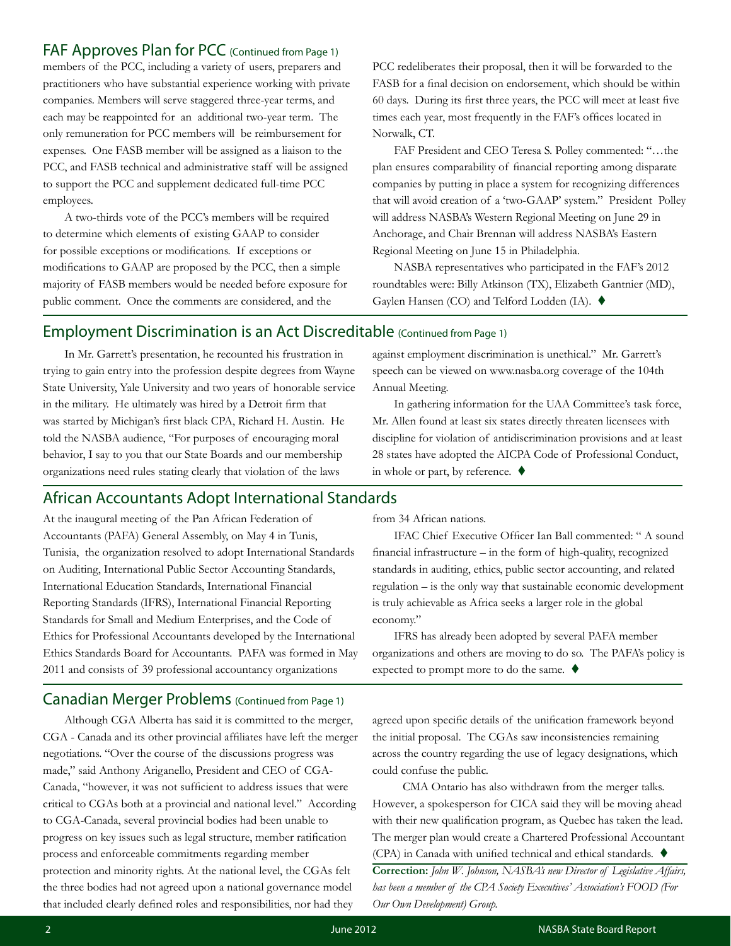#### FAF Approves Plan for PCC (Continued from Page 1)

members of the PCC, including a variety of users, preparers and practitioners who have substantial experience working with private companies. Members will serve staggered three-year terms, and each may be reappointed for an additional two-year term. The only remuneration for PCC members will be reimbursement for expenses. One FASB member will be assigned as a liaison to the PCC, and FASB technical and administrative staff will be assigned to support the PCC and supplement dedicated full-time PCC employees.

A two-thirds vote of the PCC's members will be required to determine which elements of existing GAAP to consider for possible exceptions or modifications. If exceptions or modifications to GAAP are proposed by the PCC, then a simple majority of FASB members would be needed before exposure for public comment. Once the comments are considered, and the

PCC redeliberates their proposal, then it will be forwarded to the FASB for a final decision on endorsement, which should be within 60 days. During its first three years, the PCC will meet at least five times each year, most frequently in the FAF's offices located in Norwalk, CT.

FAF President and CEO Teresa S. Polley commented: "…the plan ensures comparability of financial reporting among disparate companies by putting in place a system for recognizing differences that will avoid creation of a 'two-GAAP' system." President Polley will address NASBA's Western Regional Meeting on June 29 in Anchorage, and Chair Brennan will address NASBA's Eastern Regional Meeting on June 15 in Philadelphia.

NASBA representatives who participated in the FAF's 2012 roundtables were: Billy Atkinson (TX), Elizabeth Gantnier (MD), Gaylen Hansen (CO) and Telford Lodden (IA). ♦

#### Employment Discrimination is an Act Discreditable (Continued from Page 1)

In Mr. Garrett's presentation, he recounted his frustration in trying to gain entry into the profession despite degrees from Wayne State University, Yale University and two years of honorable service in the military. He ultimately was hired by a Detroit firm that was started by Michigan's first black CPA, Richard H. Austin. He told the NASBA audience, "For purposes of encouraging moral behavior, I say to you that our State Boards and our membership organizations need rules stating clearly that violation of the laws

against employment discrimination is unethical." Mr. Garrett's speech can be viewed on www.nasba.org coverage of the 104th Annual Meeting.

In gathering information for the UAA Committee's task force, Mr. Allen found at least six states directly threaten licensees with discipline for violation of antidiscrimination provisions and at least 28 states have adopted the AICPA Code of Professional Conduct, in whole or part, by reference.  $\blacklozenge$ 

#### African Accountants Adopt International Standards

At the inaugural meeting of the Pan African Federation of Accountants (PAFA) General Assembly, on May 4 in Tunis, Tunisia, the organization resolved to adopt International Standards on Auditing, International Public Sector Accounting Standards, International Education Standards, International Financial Reporting Standards (IFRS), International Financial Reporting Standards for Small and Medium Enterprises, and the Code of Ethics for Professional Accountants developed by the International Ethics Standards Board for Accountants. PAFA was formed in May 2011 and consists of 39 professional accountancy organizations

#### Canadian Merger Problems (Continued from Page 1)

Although CGA Alberta has said it is committed to the merger, CGA - Canada and its other provincial affiliates have left the merger negotiations. "Over the course of the discussions progress was made," said Anthony Ariganello, President and CEO of CGA-Canada, "however, it was not sufficient to address issues that were critical to CGAs both at a provincial and national level." According to CGA-Canada, several provincial bodies had been unable to progress on key issues such as legal structure, member ratification process and enforceable commitments regarding member protection and minority rights. At the national level, the CGAs felt the three bodies had not agreed upon a national governance model that included clearly defined roles and responsibilities, nor had they

from 34 African nations.

IFAC Chief Executive Officer Ian Ball commented: " A sound financial infrastructure – in the form of high-quality, recognized standards in auditing, ethics, public sector accounting, and related regulation – is the only way that sustainable economic development is truly achievable as Africa seeks a larger role in the global economy."

IFRS has already been adopted by several PAFA member organizations and others are moving to do so. The PAFA's policy is expected to prompt more to do the same.  $\blacklozenge$ 

agreed upon specific details of the unification framework beyond the initial proposal. The CGAs saw inconsistencies remaining across the country regarding the use of legacy designations, which could confuse the public.

 CMA Ontario has also withdrawn from the merger talks. However, a spokesperson for CICA said they will be moving ahead with their new qualification program, as Quebec has taken the lead. The merger plan would create a Chartered Professional Accountant (CPA) in Canada with unified technical and ethical standards.  $\blacklozenge$ 

**Correction:** *John W. Johnson, NASBA's new Director of Legislative Affairs, has been a member of the CPA Society Executives' Association's FOOD (For Our Own Development) Group.*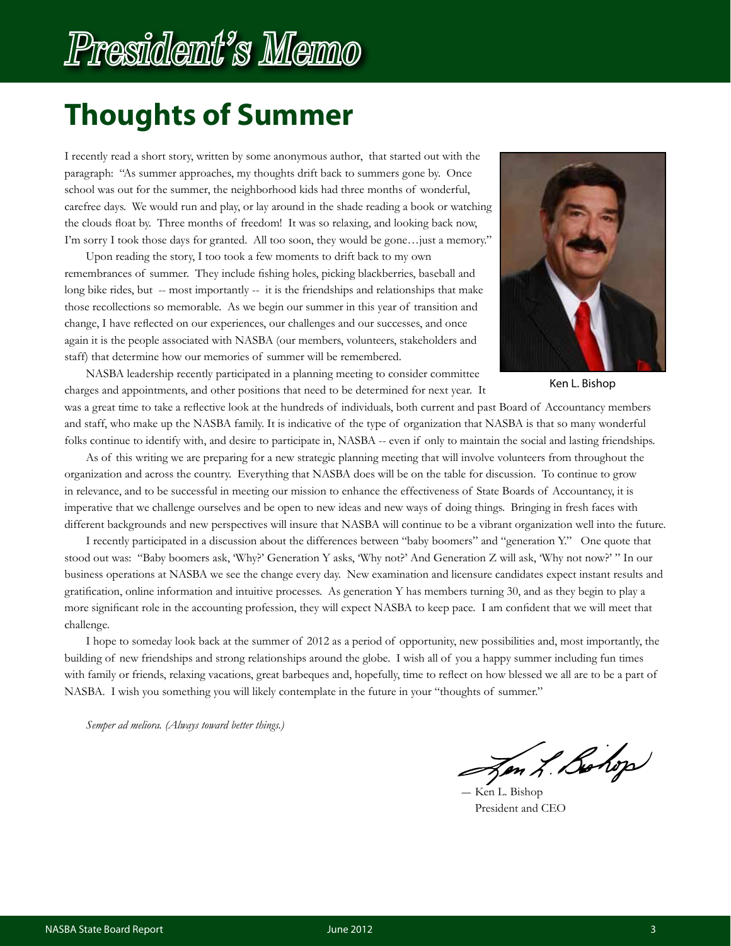## President's Memo

### **Thoughts of Summer**

I recently read a short story, written by some anonymous author, that started out with the paragraph: "As summer approaches, my thoughts drift back to summers gone by. Once school was out for the summer, the neighborhood kids had three months of wonderful, carefree days. We would run and play, or lay around in the shade reading a book or watching the clouds float by. Three months of freedom! It was so relaxing, and looking back now, I'm sorry I took those days for granted. All too soon, they would be gone…just a memory."

Upon reading the story, I too took a few moments to drift back to my own remembrances of summer. They include fishing holes, picking blackberries, baseball and long bike rides, but -- most importantly -- it is the friendships and relationships that make those recollections so memorable. As we begin our summer in this year of transition and change, I have reflected on our experiences, our challenges and our successes, and once again it is the people associated with NASBA (our members, volunteers, stakeholders and staff) that determine how our memories of summer will be remembered.



Ken L. Bishop

NASBA leadership recently participated in a planning meeting to consider committee charges and appointments, and other positions that need to be determined for next year. It

was a great time to take a reflective look at the hundreds of individuals, both current and past Board of Accountancy members and staff, who make up the NASBA family. It is indicative of the type of organization that NASBA is that so many wonderful folks continue to identify with, and desire to participate in, NASBA -- even if only to maintain the social and lasting friendships.

As of this writing we are preparing for a new strategic planning meeting that will involve volunteers from throughout the organization and across the country. Everything that NASBA does will be on the table for discussion. To continue to grow in relevance, and to be successful in meeting our mission to enhance the effectiveness of State Boards of Accountancy, it is imperative that we challenge ourselves and be open to new ideas and new ways of doing things. Bringing in fresh faces with different backgrounds and new perspectives will insure that NASBA will continue to be a vibrant organization well into the future.

I recently participated in a discussion about the differences between "baby boomers" and "generation Y." One quote that stood out was: "Baby boomers ask, 'Why?' Generation Y asks, 'Why not?' And Generation Z will ask, 'Why not now?' " In our business operations at NASBA we see the change every day. New examination and licensure candidates expect instant results and gratification, online information and intuitive processes. As generation Y has members turning 30, and as they begin to play a more significant role in the accounting profession, they will expect NASBA to keep pace. I am confident that we will meet that challenge.

I hope to someday look back at the summer of 2012 as a period of opportunity, new possibilities and, most importantly, the building of new friendships and strong relationships around the globe. I wish all of you a happy summer including fun times with family or friends, relaxing vacations, great barbeques and, hopefully, time to reflect on how blessed we all are to be a part of NASBA. I wish you something you will likely contemplate in the future in your "thoughts of summer."

*Semper ad meliora. (Always toward better things.)*

Jen L. Bohop

Ken L. Bishop President and CEO